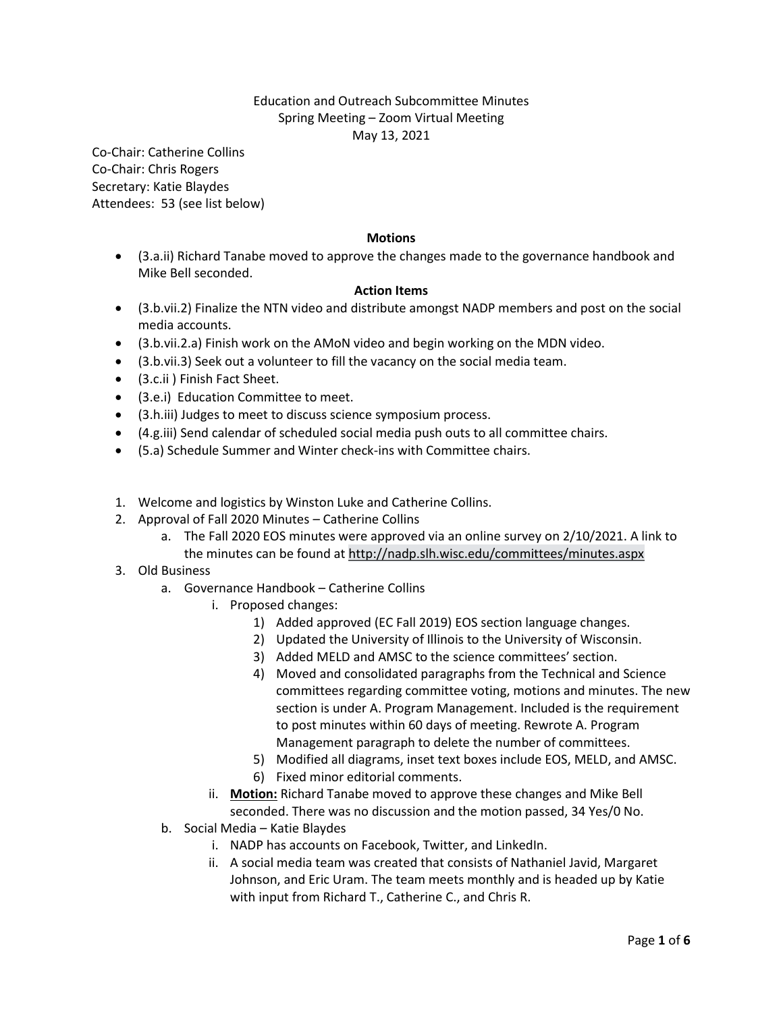## Education and Outreach Subcommittee Minutes Spring Meeting – Zoom Virtual Meeting May 13, 2021

Co-Chair: Catherine Collins Co-Chair: Chris Rogers Secretary: Katie Blaydes Attendees: 53 (see list below)

## **Motions**

 (3.a.ii) Richard Tanabe moved to approve the changes made to the governance handbook and Mike Bell seconded.

## **Action Items**

- (3.b.vii.2) Finalize the NTN video and distribute amongst NADP members and post on the social media accounts.
- (3.b.vii.2.a) Finish work on the AMoN video and begin working on the MDN video.
- (3.b.vii.3) Seek out a volunteer to fill the vacancy on the social media team.
- (3.c.ii ) Finish Fact Sheet.
- (3.e.i) Education Committee to meet.
- (3.h.iii) Judges to meet to discuss science symposium process.
- (4.g.iii) Send calendar of scheduled social media push outs to all committee chairs.
- (5.a) Schedule Summer and Winter check-ins with Committee chairs.
- 1. Welcome and logistics by Winston Luke and Catherine Collins.
- 2. Approval of Fall 2020 Minutes Catherine Collins
	- a. The Fall 2020 EOS minutes were approved via an online survey on 2/10/2021. A link to the minutes can be found at [http://nadp.slh.wisc.edu/committees/minutes.aspx](http://nadp.slh.wisc.edu/committees/minutes.aspx%22%20/t%20%22_blank)
- 3. Old Business
	- a. Governance Handbook Catherine Collins
		- i. Proposed changes:
			- 1) Added approved (EC Fall 2019) EOS section language changes.
			- 2) Updated the University of Illinois to the University of Wisconsin.
			- 3) Added MELD and AMSC to the science committees' section.
			- 4) Moved and consolidated paragraphs from the Technical and Science committees regarding committee voting, motions and minutes. The new section is under A. Program Management. Included is the requirement to post minutes within 60 days of meeting. Rewrote A. Program Management paragraph to delete the number of committees.
			- 5) Modified all diagrams, inset text boxes include EOS, MELD, and AMSC.
			- 6) Fixed minor editorial comments.
		- ii. **Motion:** Richard Tanabe moved to approve these changes and Mike Bell seconded. There was no discussion and the motion passed, 34 Yes/0 No.
	- b. Social Media Katie Blaydes
		- i. NADP has accounts on Facebook, Twitter, and LinkedIn.
		- ii. A social media team was created that consists of Nathaniel Javid, Margaret Johnson, and Eric Uram. The team meets monthly and is headed up by Katie with input from Richard T., Catherine C., and Chris R.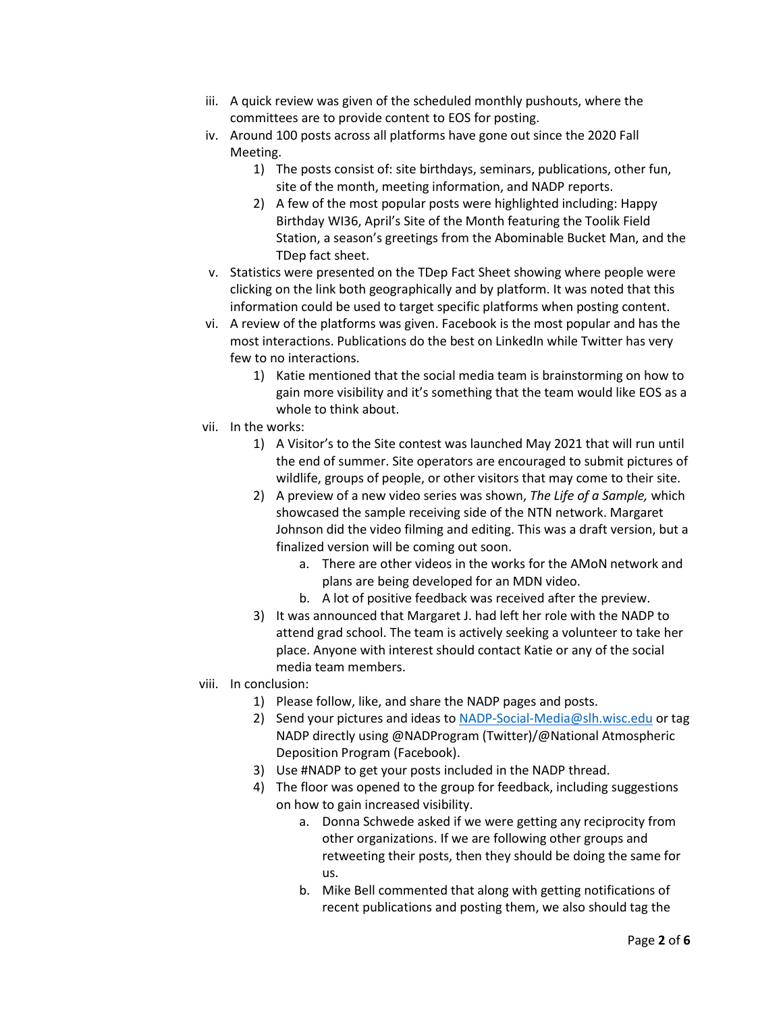- iii. A quick review was given of the scheduled monthly pushouts, where the committees are to provide content to EOS for posting.
- iv. Around 100 posts across all platforms have gone out since the 2020 Fall Meeting.
	- 1) The posts consist of: site birthdays, seminars, publications, other fun, site of the month, meeting information, and NADP reports.
	- 2) A few of the most popular posts were highlighted including: Happy Birthday WI36, April's Site of the Month featuring the Toolik Field Station, a season's greetings from the Abominable Bucket Man, and the TDep fact sheet.
- v. Statistics were presented on the TDep Fact Sheet showing where people were clicking on the link both geographically and by platform. It was noted that this information could be used to target specific platforms when posting content.
- vi. A review of the platforms was given. Facebook is the most popular and has the most interactions. Publications do the best on LinkedIn while Twitter has very few to no interactions.
	- 1) Katie mentioned that the social media team is brainstorming on how to gain more visibility and it's something that the team would like EOS as a whole to think about.
- vii. In the works:
	- 1) A Visitor's to the Site contest was launched May 2021 that will run until the end of summer. Site operators are encouraged to submit pictures of wildlife, groups of people, or other visitors that may come to their site.
	- 2) A preview of a new video series was shown, *The Life of a Sample,* which showcased the sample receiving side of the NTN network. Margaret Johnson did the video filming and editing. This was a draft version, but a finalized version will be coming out soon.
		- a. There are other videos in the works for the AMoN network and plans are being developed for an MDN video.
		- b. A lot of positive feedback was received after the preview.
	- 3) It was announced that Margaret J. had left her role with the NADP to attend grad school. The team is actively seeking a volunteer to take her place. Anyone with interest should contact Katie or any of the social media team members.
- viii. In conclusion:
	- 1) Please follow, like, and share the NADP pages and posts.
	- 2) Send your pictures and ideas to [NADP-Social-Media@slh.wisc.edu](mailto:NADP-Social-Media@slh.wisc.edu) or tag NADP directly using @NADProgram (Twitter)/@National Atmospheric Deposition Program (Facebook).
	- 3) Use #NADP to get your posts included in the NADP thread.
	- 4) The floor was opened to the group for feedback, including suggestions on how to gain increased visibility.
		- a. Donna Schwede asked if we were getting any reciprocity from other organizations. If we are following other groups and retweeting their posts, then they should be doing the same for us.
		- b. Mike Bell commented that along with getting notifications of recent publications and posting them, we also should tag the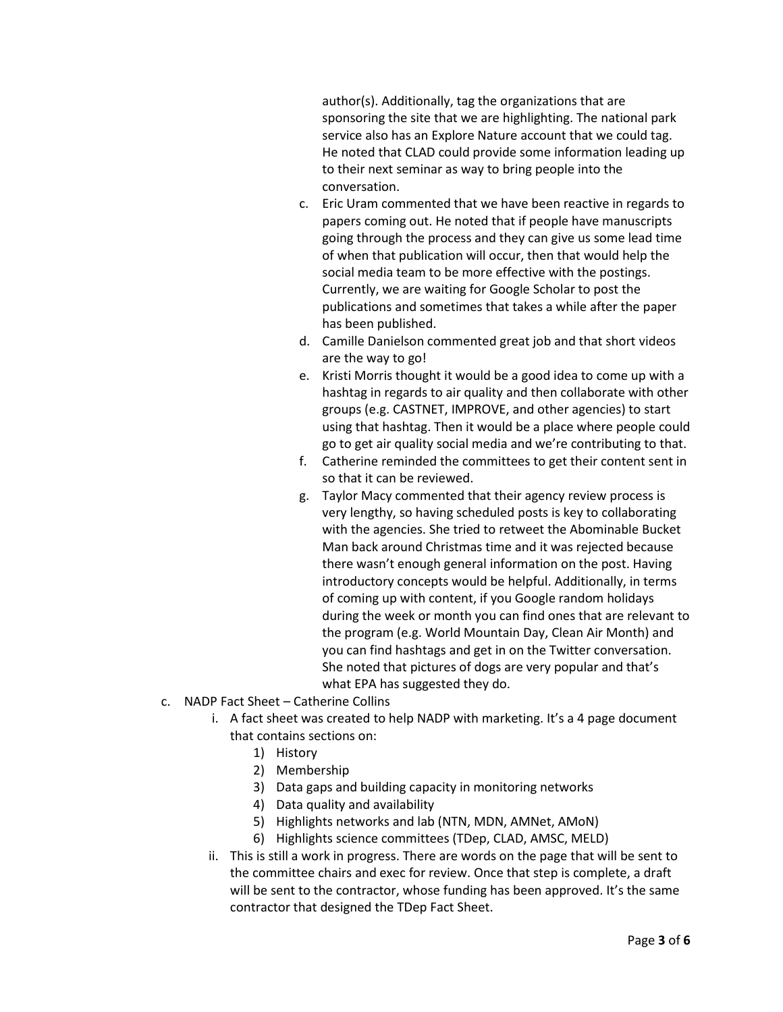author(s). Additionally, tag the organizations that are sponsoring the site that we are highlighting. The national park service also has an Explore Nature account that we could tag. He noted that CLAD could provide some information leading up to their next seminar as way to bring people into the conversation.

- c. Eric Uram commented that we have been reactive in regards to papers coming out. He noted that if people have manuscripts going through the process and they can give us some lead time of when that publication will occur, then that would help the social media team to be more effective with the postings. Currently, we are waiting for Google Scholar to post the publications and sometimes that takes a while after the paper has been published.
- d. Camille Danielson commented great job and that short videos are the way to go!
- e. Kristi Morris thought it would be a good idea to come up with a hashtag in regards to air quality and then collaborate with other groups (e.g. CASTNET, IMPROVE, and other agencies) to start using that hashtag. Then it would be a place where people could go to get air quality social media and we're contributing to that.
- f. Catherine reminded the committees to get their content sent in so that it can be reviewed.
- g. Taylor Macy commented that their agency review process is very lengthy, so having scheduled posts is key to collaborating with the agencies. She tried to retweet the Abominable Bucket Man back around Christmas time and it was rejected because there wasn't enough general information on the post. Having introductory concepts would be helpful. Additionally, in terms of coming up with content, if you Google random holidays during the week or month you can find ones that are relevant to the program (e.g. World Mountain Day, Clean Air Month) and you can find hashtags and get in on the Twitter conversation. She noted that pictures of dogs are very popular and that's what EPA has suggested they do.
- c. NADP Fact Sheet Catherine Collins
	- i. A fact sheet was created to help NADP with marketing. It's a 4 page document that contains sections on:
		- 1) History
		- 2) Membership
		- 3) Data gaps and building capacity in monitoring networks
		- 4) Data quality and availability
		- 5) Highlights networks and lab (NTN, MDN, AMNet, AMoN)
		- 6) Highlights science committees (TDep, CLAD, AMSC, MELD)
	- ii. This is still a work in progress. There are words on the page that will be sent to the committee chairs and exec for review. Once that step is complete, a draft will be sent to the contractor, whose funding has been approved. It's the same contractor that designed the TDep Fact Sheet.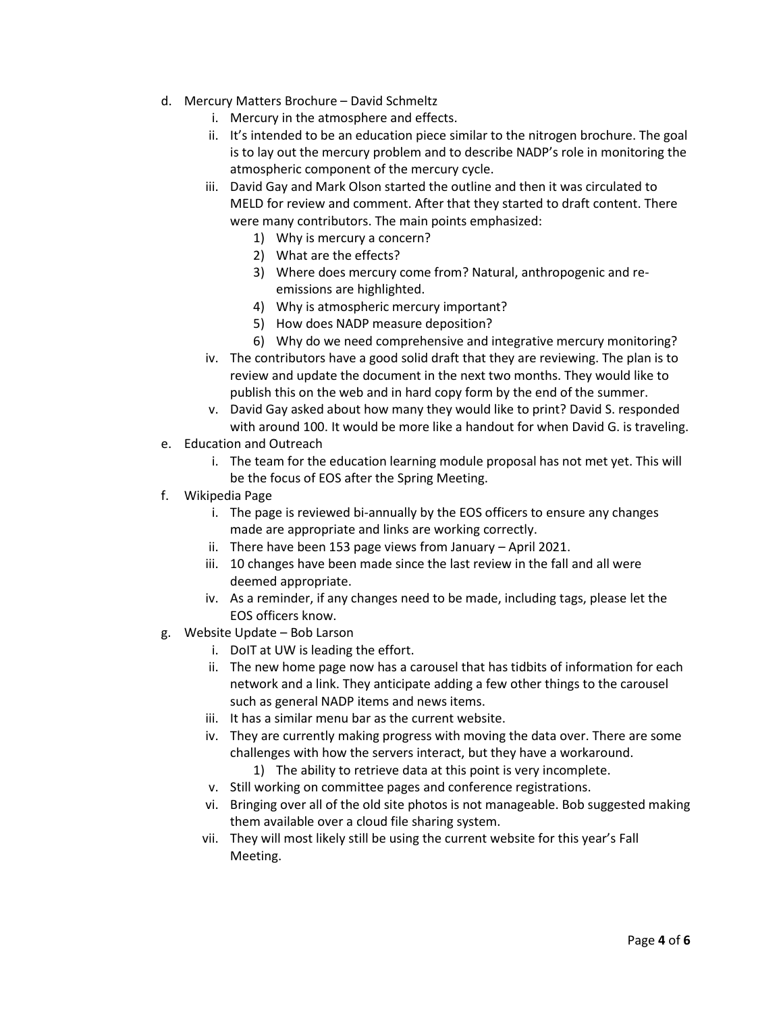- d. Mercury Matters Brochure David Schmeltz
	- i. Mercury in the atmosphere and effects.
	- ii. It's intended to be an education piece similar to the nitrogen brochure. The goal is to lay out the mercury problem and to describe NADP's role in monitoring the atmospheric component of the mercury cycle.
	- iii. David Gay and Mark Olson started the outline and then it was circulated to MELD for review and comment. After that they started to draft content. There were many contributors. The main points emphasized:
		- 1) Why is mercury a concern?
		- 2) What are the effects?
		- 3) Where does mercury come from? Natural, anthropogenic and reemissions are highlighted.
		- 4) Why is atmospheric mercury important?
		- 5) How does NADP measure deposition?
		- 6) Why do we need comprehensive and integrative mercury monitoring?
	- iv. The contributors have a good solid draft that they are reviewing. The plan is to review and update the document in the next two months. They would like to publish this on the web and in hard copy form by the end of the summer.
	- v. David Gay asked about how many they would like to print? David S. responded with around 100. It would be more like a handout for when David G. is traveling.
- e. Education and Outreach
	- i. The team for the education learning module proposal has not met yet. This will be the focus of EOS after the Spring Meeting.
- f. Wikipedia Page
	- i. The page is reviewed bi-annually by the EOS officers to ensure any changes made are appropriate and links are working correctly.
	- ii. There have been 153 page views from January April 2021.
	- iii. 10 changes have been made since the last review in the fall and all were deemed appropriate.
	- iv. As a reminder, if any changes need to be made, including tags, please let the EOS officers know.
- g. Website Update Bob Larson
	- i. DoIT at UW is leading the effort.
	- ii. The new home page now has a carousel that has tidbits of information for each network and a link. They anticipate adding a few other things to the carousel such as general NADP items and news items.
	- iii. It has a similar menu bar as the current website.
	- iv. They are currently making progress with moving the data over. There are some challenges with how the servers interact, but they have a workaround.
		- 1) The ability to retrieve data at this point is very incomplete.
	- v. Still working on committee pages and conference registrations.
	- vi. Bringing over all of the old site photos is not manageable. Bob suggested making them available over a cloud file sharing system.
	- vii. They will most likely still be using the current website for this year's Fall Meeting.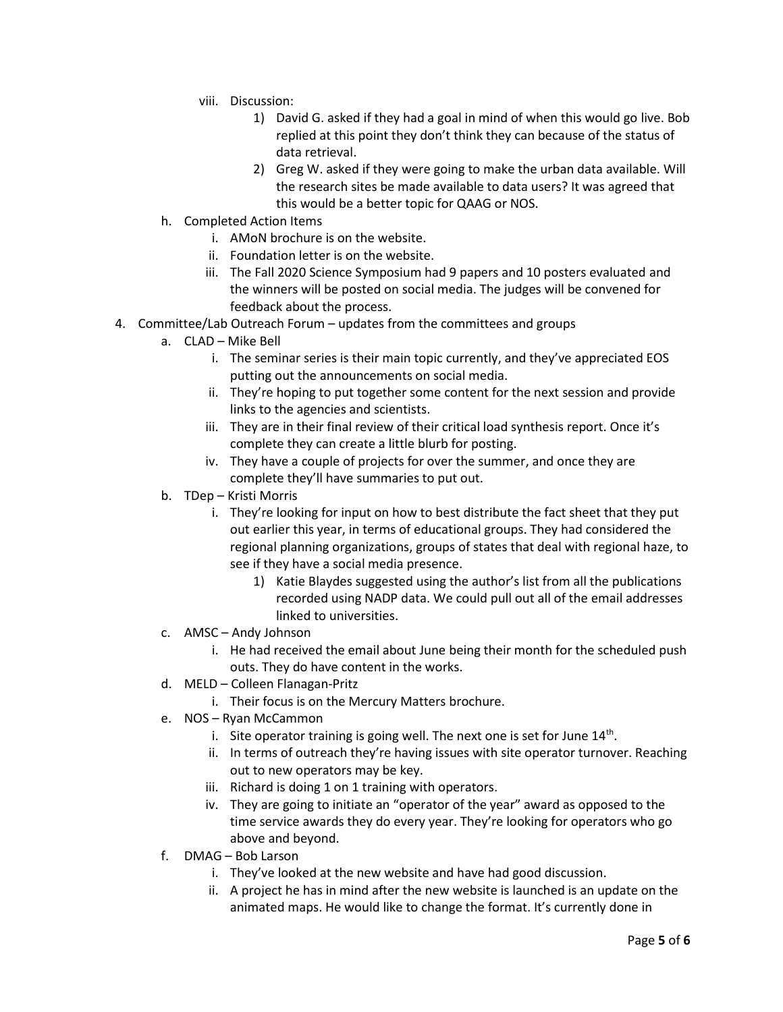- viii. Discussion:
	- 1) David G. asked if they had a goal in mind of when this would go live. Bob replied at this point they don't think they can because of the status of data retrieval.
	- 2) Greg W. asked if they were going to make the urban data available. Will the research sites be made available to data users? It was agreed that this would be a better topic for QAAG or NOS.
- h. Completed Action Items
	- i. AMoN brochure is on the website.
	- ii. Foundation letter is on the website.
	- iii. The Fall 2020 Science Symposium had 9 papers and 10 posters evaluated and the winners will be posted on social media. The judges will be convened for feedback about the process.
- 4. Committee/Lab Outreach Forum updates from the committees and groups
	- a. CLAD Mike Bell
		- i. The seminar series is their main topic currently, and they've appreciated EOS putting out the announcements on social media.
		- ii. They're hoping to put together some content for the next session and provide links to the agencies and scientists.
		- iii. They are in their final review of their critical load synthesis report. Once it's complete they can create a little blurb for posting.
		- iv. They have a couple of projects for over the summer, and once they are complete they'll have summaries to put out.
	- b. TDep Kristi Morris
		- i. They're looking for input on how to best distribute the fact sheet that they put out earlier this year, in terms of educational groups. They had considered the regional planning organizations, groups of states that deal with regional haze, to see if they have a social media presence.
			- 1) Katie Blaydes suggested using the author's list from all the publications recorded using NADP data. We could pull out all of the email addresses linked to universities.
	- c. AMSC Andy Johnson
		- i. He had received the email about June being their month for the scheduled push outs. They do have content in the works.
	- d. MELD Colleen Flanagan-Pritz
		- i. Their focus is on the Mercury Matters brochure.
	- e. NOS Ryan McCammon
		- i. Site operator training is going well. The next one is set for June  $14<sup>th</sup>$ .
		- ii. In terms of outreach they're having issues with site operator turnover. Reaching out to new operators may be key.
		- iii. Richard is doing 1 on 1 training with operators.
		- iv. They are going to initiate an "operator of the year" award as opposed to the time service awards they do every year. They're looking for operators who go above and beyond.
	- f. DMAG Bob Larson
		- i. They've looked at the new website and have had good discussion.
		- ii. A project he has in mind after the new website is launched is an update on the animated maps. He would like to change the format. It's currently done in